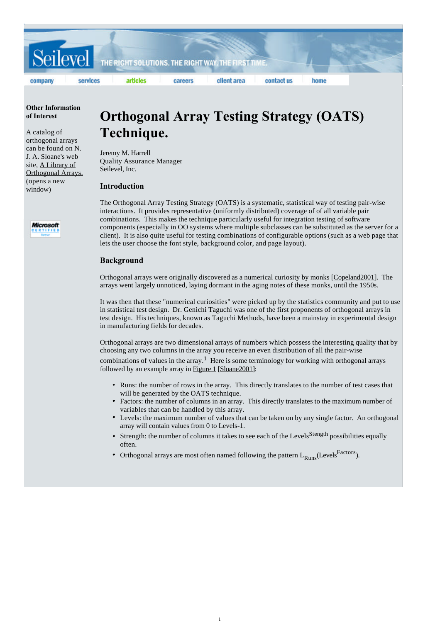

## **Other Information of Interest**

A catalog of orthogonal arrays can be found on N. J. A. Sloane's web site, A Library of Orthogonal Arrays. (opens a new window)



# **Orthogonal Array Testing Strategy (OATS) Technique.**

Jeremy M. Harrell Quality Assurance Manager Seilevel, Inc.

# **Introduction**

The Orthogonal Array Testing Strategy (OATS) is a systematic, statistical way of testing pair-wise interactions. It provides representative (uniformly distributed) coverage of of all variable pair combinations. This makes the technique particularly useful for integration testing of software components (especially in OO systems where multiple subclasses can be substituted as the server for a client). It is also quite useful for testing combinations of configurable options (such as a web page that lets the user choose the font style, background color, and page layout).

# **Background**

Orthogonal arrays were originally discovered as a numerical curiosity by monks [Copeland2001]. The arrays went largely unnoticed, laying dormant in the aging notes of these monks, until the 1950s.

It was then that these "numerical curiosities" were picked up by the statistics community and put to use in statistical test design. Dr. Genichi Taguchi was one of the first proponents of orthogonal arrays in test design. His techniques, known as Taguchi Methods, have been a mainstay in experimental design in manufacturing fields for decades.

Orthogonal arrays are two dimensional arrays of numbers which possess the interesting quality that by choosing any two columns in the array you receive an even distribution of all the pair-wise

combinations of values in the array. $\frac{1}{2}$  Here is some terminology for working with orthogonal arrays followed by an example array in Figure 1 [Sloane2001]:

- Runs: the number of rows in the array. This directly translates to the number of test cases that will be generated by the OATS technique.
- Factors: the number of columns in an array. This directly translates to the maximum number of variables that can be handled by this array.
- Levels: the maximum number of values that can be taken on by any single factor. An orthogonal array will contain values from 0 to Levels-1.
- Strength: the number of columns it takes to see each of the Levels<sup>Stength</sup> possibilities equally often.
- Orthogonal arrays are most often named following the pattern  $L_{\rm{Runc}}$  (Levels<sup>Factors</sup>).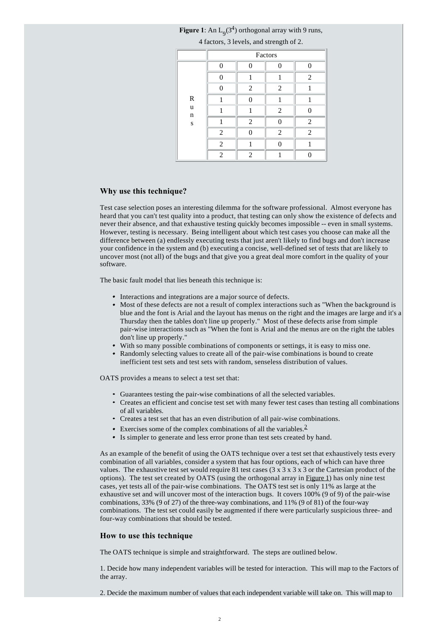| 4 factors, 3 levels, and strength of 2. |                |                |                |                |  |  |  |
|-----------------------------------------|----------------|----------------|----------------|----------------|--|--|--|
|                                         | Factors        |                |                |                |  |  |  |
|                                         | 0              | 0              | 0              | 0              |  |  |  |
|                                         |                |                |                | 2              |  |  |  |
|                                         | O              | 2              | 2              | 1              |  |  |  |
| R                                       |                | 0              | 1              | 1              |  |  |  |
| u<br>n<br>S                             |                |                | $\overline{2}$ | 0              |  |  |  |
|                                         |                | $\overline{2}$ | O              | $\overline{c}$ |  |  |  |
|                                         | $\overline{2}$ | 0              | $\overline{2}$ | $\overline{2}$ |  |  |  |
|                                         | $\overline{2}$ |                | O              |                |  |  |  |
|                                         | $\overline{2}$ | 2              |                |                |  |  |  |

# **Figure 1**: An  $L_9(3^4)$  orthogonal array with 9 runs,

# **Why use this technique?**

Test case selection poses an interesting dilemma for the software professional. Almost everyone has heard that you can't test quality into a product, that testing can only show the existence of defects and never their absence, and that exhaustive testing quickly becomes impossible -- even in small systems. However, testing is necessary. Being intelligent about which test cases you choose can make all the difference between (a) endlessly executing tests that just aren't likely to find bugs and don't increase your confidence in the system and (b) executing a concise, well-defined set of tests that are likely to uncover most (not all) of the bugs and that give you a great deal more comfort in the quality of your software.

The basic fault model that lies beneath this technique is:

- Interactions and integrations are a major source of defects.
- Most of these defects are not a result of complex interactions such as "When the background is blue and the font is Arial and the layout has menus on the right and the images are large and it's a Thursday then the tables don't line up properly." Most of these defects arise from simple pair-wise interactions such as "When the font is Arial and the menus are on the right the tables don't line up properly."
- With so many possible combinations of components or settings, it is easy to miss one.
- Randomly selecting values to create all of the pair-wise combinations is bound to create inefficient test sets and test sets with random, senseless distribution of values.

OATS provides a means to select a test set that:

- Guarantees testing the pair-wise combinations of all the selected variables.
- Creates an efficient and concise test set with many fewer test cases than testing all combinations of all variables.
- Creates a test set that has an even distribution of all pair-wise combinations.
- Exercises some of the complex combinations of all the variables.<sup>2</sup>
- Is simpler to generate and less error prone than test sets created by hand.

As an example of the benefit of using the OATS technique over a test set that exhaustively tests every combination of all variables, consider a system that has four options, each of which can have three values. The exhaustive test set would require 81 test cases ( $3 \times 3 \times 3 \times 3$  or the Cartesian product of the options). The test set created by OATS (using the orthogonal array in Figure 1) has only nine test cases, yet tests all of the pair-wise combinations. The OATS test set is only 11% as large at the exhaustive set and will uncover most of the interaction bugs. It covers 100% (9 of 9) of the pair-wise combinations, 33% (9 of 27) of the three-way combinations, and 11% (9 of 81) of the four-way combinations. The test set could easily be augmented if there were particularly suspicious three- and four-way combinations that should be tested.

## **How to use this technique**

The OATS technique is simple and straightforward. The steps are outlined below.

1. Decide how many independent variables will be tested for interaction. This will map to the Factors of the array.

2. Decide the maximum number of values that each independent variable will take on. This will map to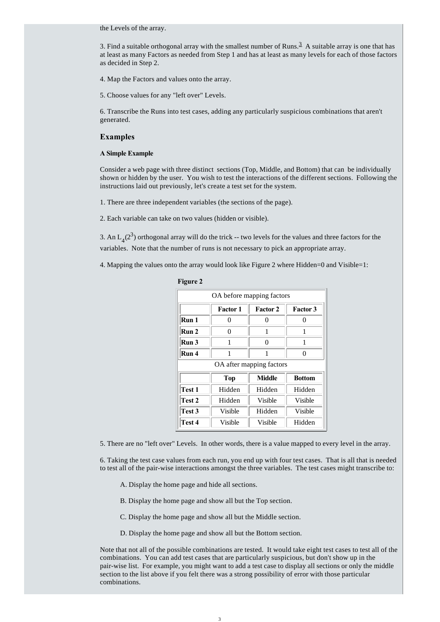the Levels of the array.

3. Find a suitable orthogonal array with the smallest number of Runs. $3$  A suitable array is one that has at least as many Factors as needed from Step 1 and has at least as many levels for each of those factors as decided in Step 2.

4. Map the Factors and values onto the array.

5. Choose values for any "left over" Levels.

6. Transcribe the Runs into test cases, adding any particularly suspicious combinations that aren't generated.

# **Examples**

### **A Simple Example**

Consider a web page with three distinct sections (Top, Middle, and Bottom) that can be individually shown or hidden by the user. You wish to test the interactions of the different sections. Following the instructions laid out previously, let's create a test set for the system.

1. There are three independent variables (the sections of the page).

2. Each variable can take on two values (hidden or visible).

3. An  $L_4(2^3)$  orthogonal array will do the trick -- two levels for the values and three factors for the variables. Note that the number of runs is not necessary to pick an appropriate array.

4. Mapping the values onto the array would look like Figure 2 where Hidden=0 and Visible=1:

| OA before mapping factors |                                                       |                          |                |  |  |  |  |  |
|---------------------------|-------------------------------------------------------|--------------------------|----------------|--|--|--|--|--|
|                           | <b>Factor 3</b><br><b>Factor 2</b><br><b>Factor 1</b> |                          |                |  |  |  |  |  |
| Run 1                     | 0                                                     | 0                        | 0              |  |  |  |  |  |
| Run 2                     | 0                                                     | 1                        | 1              |  |  |  |  |  |
| Run 3                     | 1                                                     | 0                        | 1              |  |  |  |  |  |
| Run 4                     | 1                                                     |                          | 0              |  |  |  |  |  |
|                           |                                                       | OA after mapping factors |                |  |  |  |  |  |
|                           | Middle<br><b>Bottom</b><br><b>Top</b>                 |                          |                |  |  |  |  |  |
| Test 1                    | Hidden                                                | Hidden                   | Hidden         |  |  |  |  |  |
| Test 2                    | Hidden                                                | <b>Visible</b>           | <b>Visible</b> |  |  |  |  |  |
| Test 3                    | Visible                                               | Hidden                   | Visible        |  |  |  |  |  |
| Test 4                    | Visible                                               | Visible                  | Hidden         |  |  |  |  |  |

**Figure 2**

5. There are no "left over" Levels. In other words, there is a value mapped to every level in the array.

6. Taking the test case values from each run, you end up with four test cases. That is all that is needed to test all of the pair-wise interactions amongst the three variables. The test cases might transcribe to:

A. Display the home page and hide all sections.

B. Display the home page and show all but the Top section.

- C. Display the home page and show all but the Middle section.
- D. Display the home page and show all but the Bottom section.

Note that not all of the possible combinations are tested. It would take eight test cases to test all of the combinations. You can add test cases that are particularly suspicious, but don't show up in the pair-wise list. For example, you might want to add a test case to display all sections or only the middle section to the list above if you felt there was a strong possibility of error with those particular combinations.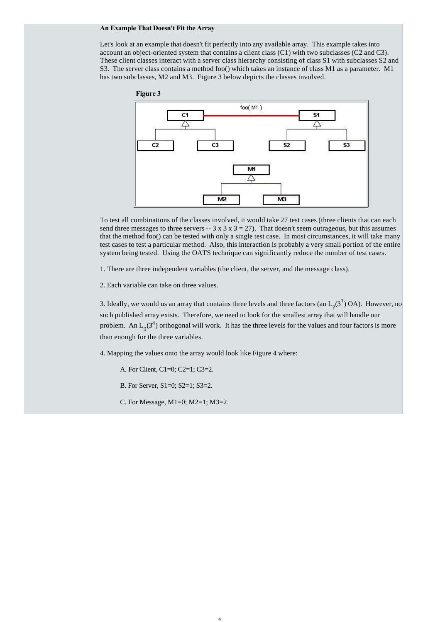### **An Example That Doesn't Fit the Array**

Let's look at an example that doesn't fit perfectly into any available array. This example takes into account an object-oriented system that contains a client class (C1) with two subclasses (C2 and C3). These client classes interact with a server class hierarchy consisting of class S1 with subclasses S2 and S3. The server class contains a method foo() which takes an instance of class M1 as a parameter. M1 has two subclasses, M2 and M3. Figure 3 below depicts the classes involved.



To test all combinations of the classes involved, it would take 27 test cases (three clients that can each send three messages to three servers  $-3 \times 3 \times 3 = 27$ . That doesn't seem outrageous, but this assumes that the method foo() can be tested with only a single test case. In most circumstances, it will take many test cases to test a particular method. Also, this interaction is probably a very small portion of the entire system being tested. Using the OATS technique can significantly reduce the number of test cases.

1. There are three independent variables (the client, the server, and the message class).

2. Each variable can take on three values.

3. Ideally, we would us an array that contains three levels and three factors (an  $L_2(3^3)$  OA). However, no such published array exists. Therefore, we need to look for the smallest array that will handle our problem. An  $L_9(3^4)$  orthogonal will work. It has the three levels for the values and four factors is more than enough for the three variables.

4. Mapping the values onto the array would look like Figure 4 where:

A. For Client, C1=0; C2=1; C3=2.

B. For Server, S1=0; S2=1; S3=2.

C. For Message, M1=0; M2=1; M3=2.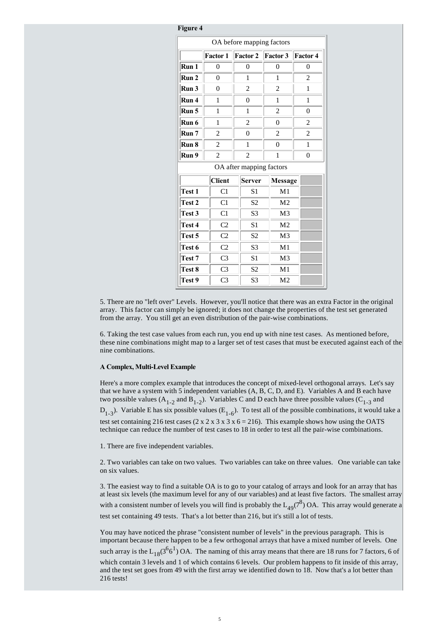| r igure 4                 |                |  |                          |   |                 |                |                 |  |
|---------------------------|----------------|--|--------------------------|---|-----------------|----------------|-----------------|--|
| OA before mapping factors |                |  |                          |   |                 |                |                 |  |
|                           | Factor 1       |  | <b>Factor 2</b>          |   | <b>Factor 3</b> |                | <b>Factor 4</b> |  |
| Run 1                     | $\theta$       |  | $\theta$                 |   | $\theta$        |                | $\theta$        |  |
| Run 2                     | $\theta$       |  | 1                        |   | 1               |                | $\overline{c}$  |  |
| Run 3                     | $\theta$       |  | 2                        |   | 2               |                | 1               |  |
| Run 4                     | 1              |  | $\theta$                 |   | 1               |                | $\mathbf{1}$    |  |
| Run 5                     | 1              |  | 1                        |   | $\overline{2}$  |                | $\overline{0}$  |  |
| Run 6                     | 1              |  | 2                        |   | $\theta$        |                | 2               |  |
| Run 7                     | 2              |  | $\theta$                 |   | $\overline{c}$  | $\overline{c}$ |                 |  |
| Run 8                     | $\overline{c}$ |  | 1                        |   | $\theta$        |                | 1               |  |
| Run 9                     | 2              |  | 2                        | 1 |                 |                | $\overline{0}$  |  |
|                           |                |  | OA after mapping factors |   |                 |                |                 |  |
|                           | <b>Client</b>  |  | <b>Server</b>            |   | Message         |                |                 |  |
| Test 1                    | C1             |  | S <sub>1</sub>           |   | M <sub>1</sub>  |                |                 |  |
| Test 2                    | C1             |  | S <sub>2</sub>           |   | M <sub>2</sub>  |                |                 |  |
| Test 3                    | C1             |  | S <sub>3</sub>           |   | M <sub>3</sub>  |                |                 |  |
| Test 4                    | C <sub>2</sub> |  | S <sub>1</sub>           |   | M <sub>2</sub>  |                |                 |  |
| Test 5                    | C <sub>2</sub> |  | S <sub>2</sub>           |   | M <sub>3</sub>  |                |                 |  |
| Test 6                    | C <sub>2</sub> |  | S <sub>3</sub>           |   | M <sub>1</sub>  |                |                 |  |
| Test 7                    | C <sub>3</sub> |  | S <sub>1</sub>           |   | M <sub>3</sub>  |                |                 |  |
| Test 8                    | C <sub>3</sub> |  | S <sub>2</sub>           |   | M <sub>1</sub>  |                |                 |  |
| Test 9                    | C <sub>3</sub> |  | S <sub>3</sub>           |   | M <sub>2</sub>  |                |                 |  |

**Figure 4**

5. There are no "left over" Levels. However, you'll notice that there was an extra Factor in the original array. This factor can simply be ignored; it does not change the properties of the test set generated from the array. You still get an even distribution of the pair-wise combinations.

6. Taking the test case values from each run, you end up with nine test cases. As mentioned before, these nine combinations might map to a larger set of test cases that must be executed against each of the nine combinations.

# **A Complex, Multi-Level Example**

Here's a more complex example that introduces the concept of mixed-level orthogonal arrays. Let's say that we have a system with 5 independent variables (A, B, C, D, and E). Variables A and B each have two possible values ( $A_{1-2}$  and  $B_{1-2}$ ). Variables C and D each have three possible values ( $C_{1-3}$  and  $D_{1-3}$ ). Variable E has six possible values (E<sub>1-6</sub>). To test all of the possible combinations, it would take a test set containing 216 test cases (2 x 2 x 3 x 3 x 6 = 216). This example shows how using the OATS technique can reduce the number of test cases to 18 in order to test all the pair-wise combinations.

1. There are five independent variables.

2. Two variables can take on two values. Two variables can take on three values. One variable can take on six values.

3. The easiest way to find a suitable OA is to go to your catalog of arrays and look for an array that has at least six levels (the maximum level for any of our variables) and at least five factors. The smallest array with a consistent number of levels you will find is probably the  $L_{49}(7^8)$  OA. This array would generate a test set containing 49 tests. That's a lot better than 216, but it's still a lot of tests.

You may have noticed the phrase "consistent number of levels" in the previous paragraph. This is important because there happen to be a few orthogonal arrays that have a mixed number of levels. One such array is the  $L_{18}(3^66^1)$  OA. The naming of this array means that there are 18 runs for 7 factors, 6 of which contain 3 levels and 1 of which contains 6 levels. Our problem happens to fit inside of this array, and the test set goes from 49 with the first array we identified down to 18. Now that's a lot better than 216 tests!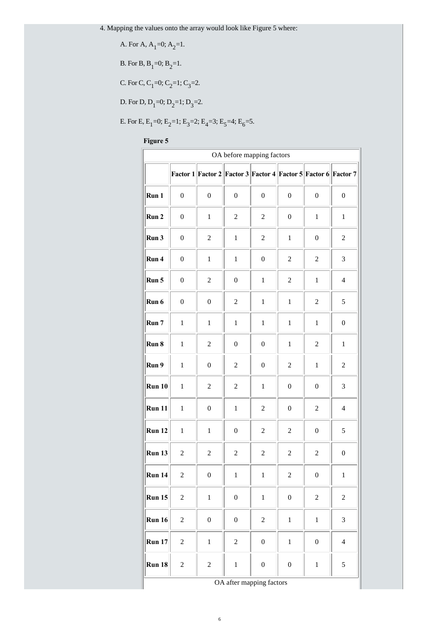4. Mapping the values onto the array would look like Figure 5 where:

A. For A, 
$$
A_1=0
$$
;  $A_2=1$ .

B. For B,  $B_1=0$ ;  $B_2=1$ .

C. For C, C<sub>1</sub>=0; C<sub>2</sub>=1; C<sub>3</sub>=2.

D. For D,  $D_1=0$ ;  $D_2=1$ ;  $D_3=2$ .

E. For E,  $E_1=0$ ;  $E_2=1$ ;  $E_3=2$ ;  $E_4=3$ ;  $E_5=4$ ;  $E_6=5$ .

**Figure 5**

| OA before mapping factors |                  |                                                                |                  |                  |                  |                  |                  |  |  |
|---------------------------|------------------|----------------------------------------------------------------|------------------|------------------|------------------|------------------|------------------|--|--|
|                           |                  | Factor 1 Factor 2 Factor 3 Factor 4 Factor 5 Factor 6 Factor 7 |                  |                  |                  |                  |                  |  |  |
| Run 1                     | $\boldsymbol{0}$ | $\boldsymbol{0}$                                               | $\boldsymbol{0}$ | $\boldsymbol{0}$ | $\boldsymbol{0}$ | $\boldsymbol{0}$ | $\boldsymbol{0}$ |  |  |
| Run 2                     | $\boldsymbol{0}$ | $\mathbf 1$                                                    | $\boldsymbol{2}$ | $\overline{2}$   | $\boldsymbol{0}$ | $\mathbf{1}$     | $\mathbf{1}$     |  |  |
| Run 3                     | $\boldsymbol{0}$ | $\overline{c}$                                                 | $\mathbf 1$      | $\overline{c}$   | $\mathbf{1}$     | $\boldsymbol{0}$ | $\sqrt{2}$       |  |  |
| Run 4                     | $\boldsymbol{0}$ | $\,1$                                                          | $\mathbf{1}$     | $\boldsymbol{0}$ | $\overline{c}$   | $\overline{2}$   | 3                |  |  |
| Run 5                     | $\boldsymbol{0}$ | $\overline{c}$                                                 | $\boldsymbol{0}$ | $\mathbf 1$      | $\overline{c}$   | $\mathbf 1$      | $\overline{4}$   |  |  |
| Run 6                     | $\boldsymbol{0}$ | $\boldsymbol{0}$                                               | $\boldsymbol{2}$ | $\mathbf{1}$     | $\mathbf{1}$     | $\sqrt{2}$       | 5                |  |  |
| Run 7                     | $\mathbf{1}$     | $\mathbf{1}$                                                   | $\mathbf{1}$     | $\mathbf{1}$     | $\mathbf{1}$     | $\mathbf{1}$     | $\boldsymbol{0}$ |  |  |
| Run 8                     | $\mathbf{1}$     | $\sqrt{2}$                                                     | $\boldsymbol{0}$ | $\boldsymbol{0}$ | $\mathbf{1}$     | $\overline{c}$   | $\mathbf{1}$     |  |  |
| Run 9                     | $\mathbf{1}$     | $\boldsymbol{0}$                                               | $\overline{c}$   | $\boldsymbol{0}$ | $\overline{c}$   | $\mathbf{1}$     | $\overline{2}$   |  |  |
| Run 10                    | $\mathbf{1}$     | $\sqrt{2}$                                                     | $\sqrt{2}$       | $\mathbf 1$      | $\boldsymbol{0}$ | $\boldsymbol{0}$ | 3                |  |  |
| Run 11                    | $\mathbf{1}$     | $\boldsymbol{0}$                                               | $\mathbf{1}$     | $\overline{c}$   | $\boldsymbol{0}$ | $\boldsymbol{2}$ | $\overline{4}$   |  |  |
| <b>Run 12</b>             | $\mathbf{1}$     | $\mathbf 1$                                                    | $\boldsymbol{0}$ | $\overline{c}$   | $\sqrt{2}$       | $\boldsymbol{0}$ | 5                |  |  |
| <b>Run 13</b>             | $\overline{c}$   | $\boldsymbol{2}$                                               | $\boldsymbol{2}$ | $\overline{c}$   | $\mathbf{2}$     | $\boldsymbol{2}$ | $\boldsymbol{0}$ |  |  |
| Run 14                    | $\overline{2}$   | $\boldsymbol{0}$                                               | $\mathbf 1$      | $\,1$            | $\overline{c}$   | $\boldsymbol{0}$ | $\,1$            |  |  |
| Run 15                    | $\overline{c}$   | $\mathbf{1}$                                                   | $\boldsymbol{0}$ | $\,1$            | $\boldsymbol{0}$ | $\overline{c}$   | $\overline{c}$   |  |  |
| <b>Run 16</b>             | $\overline{c}$   | $\boldsymbol{0}$                                               | $\boldsymbol{0}$ | $\overline{c}$   | $\,1$            | $\mathbf{1}$     | 3                |  |  |
| <b>Run 17</b>             | $\overline{c}$   | $\mathbf{1}$                                                   | $\overline{c}$   | $\boldsymbol{0}$ | $\mathbf{1}$     | $\boldsymbol{0}$ | $\overline{4}$   |  |  |
| <b>Run 18</b>             | $\overline{c}$   | $\overline{c}$                                                 | $\,1$            | $\boldsymbol{0}$ | $\boldsymbol{0}$ | $\,1$            | 5                |  |  |
| OA after mapping factors  |                  |                                                                |                  |                  |                  |                  |                  |  |  |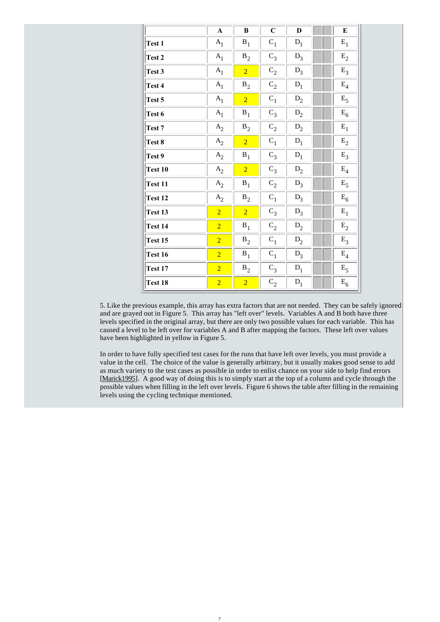|         | $\mathbf A$    | B              | $\overline{C}$ | D              | E                |
|---------|----------------|----------------|----------------|----------------|------------------|
| Test 1  | ${\bf A}_1$    | $\mathbf{B}_1$ | $C_1$          | $D_1$          | $\mathbf{E}_{1}$ |
| Test 2  | $A_1$          | $B_2$          | $C_3$          | $D_3$          | $E_2$            |
| Test 3  | $\mathbf{A}_1$ | $\overline{2}$ | $C_2$          | $D_3$          | $E_3$            |
| Test 4  | A <sub>1</sub> | $B_2$          | $C_2$          | $\mathbf{D}_1$ | $\mathrm{E}_4$   |
| Test 5  | $A_1$          | $\overline{2}$ | $C_1$          | $D_2$          | $\mathrm{E}_5$   |
| Test 6  | A <sub>1</sub> | $B_1$          | $C_3$          | $D_2$          | $E_6$            |
| Test 7  | $A_2$          | $B_2$          | $C_2$          | $D_2$          | $\mathbf{E}_1$   |
| Test 8  | $A_2$          | $\overline{2}$ | $C_1$          | $D_1$          | $\mathbf{E}_2$   |
| Test 9  | $A_2$          | $\mathbf{B}_1$ | $C_3$          | ${\rm D_1}$    | $\mathrm{E}_3$   |
| Test 10 | $A_2$          | $\overline{2}$ | $C_3$          | $D_2$          | $\mathrm{E}_4$   |
| Test 11 | $A_2$          | $\mathbf{B}_1$ | $C_2$          | $\mathbf{D}_3$ | $E_5$            |
| Test 12 | $\mathbf{A}_2$ | $\mathbf{B}_2$ | $C_1$          | $D_3$          | $E_6$            |
| Test 13 | $\overline{2}$ | $\overline{2}$ | $C_3$          | $D_3$          | $\mathbf{E}_1$   |
| Test 14 | $\overline{2}$ | $B_1$          | $C_2$          | $D_2$          | $\mathbf{E}_2$   |
| Test 15 | $\overline{2}$ | $\mathbf{B}_2$ | $C_1$          | $D_2$          | $E_3$            |
| Test 16 | $\overline{2}$ | $\mathbf{B}_1$ | $C_1$          | $D_3$          | $\mathrm{E}_4$   |
| Test 17 | $\overline{2}$ | $B_2$          | $C_3$          | ${\rm D_1}$    | $\mathrm{E}_5$   |
| Test 18 | $\overline{2}$ | $\overline{2}$ | $C_2$          | $D_1$          | $E_6$            |

5. Like the previous example, this array has extra factors that are not needed. They can be safely ignored and are grayed out in Figure 5. This array has "left over" levels. Variables A and B both have three levels specified in the original array, but there are only two possible values for each variable. This has caused a level to be left over for variables A and B after mapping the factors. These left over values have been highlighted in yellow in Figure 5.

In order to have fully specified test cases for the runs that have left over levels, you must provide a value in the cell. The choice of the value is generally arbitrary, but it usually makes good sense to add as much variety to the test cases as possible in order to enlist chance on your side to help find errors [Marick1995]. A good way of doing this is to simply start at the top of a column and cycle through the possible values when filling in the left over levels. Figure 6 shows the table after filling in the remaining levels using the cycling technique mentioned.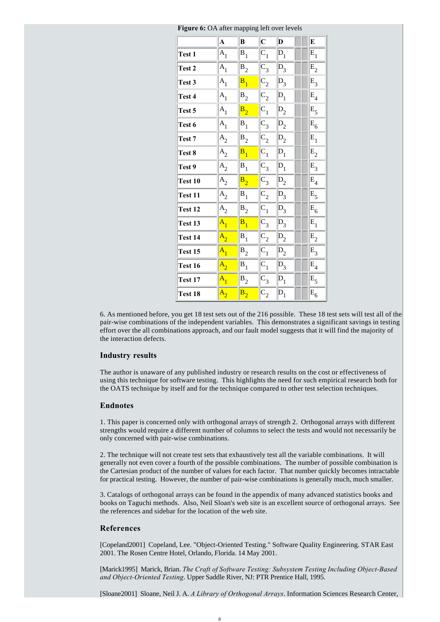|                | $\mathbf{A}$       | B       | $\overline{\mathbf{C}}$ | D              | E              |
|----------------|--------------------|---------|-------------------------|----------------|----------------|
| <b>Test 1</b>  | $A_{1}$            | $B_1$   | $C_1$                   | $\mathsf{D}_1$ | $E_1$          |
| Test 2         | $A_1$              | $B_2$   | $C_3$                   | $D_3$          | $\mathbf{E}_2$ |
| Test 3         | $A_{1}$            | $B_{1}$ | $C_{2}$                 | $D_3$          | $E_3$          |
| Test 4         | $A_{1}$            | $B_2$   | $C_2$                   | $D_1$          | $E_4$          |
| Test 5         | $A_1$              | $B_{2}$ | $C_{1}$                 | $D_2$          | $E_5$          |
| Test 6         | $A_1$              | $B_1$   | $C_3$                   | $D_2$          | $E_6$          |
| Test 7         | A <sub>2</sub>     | $B_2$   | $C_2$                   | $D_2$          | $E_1$          |
| Test 8         | $A_2$              | $B_1$   | $C_1$                   | $D_1$          | $E_2$          |
| Test 9         | $A_2$              | $B_1$   | $C_3$                   | $D_1$          | $E_3$          |
| Test 10        | $A_2$              | $B_2$   | $C_3$                   | $D_2$          | $E_4$          |
| <b>Test 11</b> | $A_2$              | $B_1$   | $C_2$                   | $D_3$          | $\mathbf{E}_5$ |
| Test 12        | $A_2$              | $B_2$   | $C_1$                   | $D_3$          | $E_6$          |
| Test 13        | $\mathbf{A}_{1}$   | $B_{1}$ | $C_3$                   | $D_3$          | $E_{1}$        |
| Test 14        | $A_{2}$            | $B_1$   | $C_2$                   | $D_2$          | $E_2$          |
| Test 15        | $A_{1}$            | $B_2$   | $C_1$                   | $D_2$          | $E_3$          |
| Test 16        | $\mathbf{A}_{2}$   | $B_1$   | $C_{1}$                 | $D_3$          | $E_4$          |
| Test 17        | $\overline{A}_{1}$ | $B_2$   | $C_3$                   | $D_1$          | $E_5$          |
| Test 18        | $A_{2}$            | $B_2$   | $C_2$                   | $D_1$          | $E_6$          |

**Figure 6:** OA after mapping left over levels

6. As mentioned before, you get 18 test sets out of the 216 possible. These 18 test sets will test all of the pair-wise combinations of the independent variables. This demonstrates a significant savings in testing effort over the all combinations approach, and our fault model suggests that it will find the majority of the interaction defects.

#### **Industry results**

The author is unaware of any published industry or research results on the cost or effectiveness of using this technique for software testing. This highlights the need for such empirical research both for the OATS technique by itself and for the technique compared to other test selection techniques.

#### **Endnotes**

1. This paper is concerned only with orthogonal arrays of strength 2. Orthogonal arrays with different strengths would require a different number of columns to select the tests and would not necessarily be only concerned with pair-wise combinations.

2. The technique will not create test sets that exhaustively test all the variable combinations. It will generally not even cover a fourth of the possible combinations. The number of possible combination is the Cartesian product of the number of values for each factor. That number quickly becomes intractable for practical testing. However, the number of pair-wise combinations is generally much, much smaller.

3. Catalogs of orthogonal arrays can be found in the appendix of many advanced statistics books and books on Taguchi methods. Also, Neil Sloan's web site is an excellent source of orthogonal arrays. See the references and sidebar for the location of the web site.

#### **References**

[Copeland2001] Copeland, Lee. "Object-Oriented Testing." Software Quality Engineering. STAR East 2001. The Rosen Centre Hotel, Orlando, Florida. 14 May 2001.

[Marick1995] Marick, Brian. *The Craft of Software Testing: Subsystem Testing Including Object-Based and Object-Oriented Testing*. Upper Saddle River, NJ: PTR Prentice Hall, 1995.

[Sloane2001] Sloane, Neil J. A. *A Library of Orthogonal Arrays*. Information Sciences Research Center,